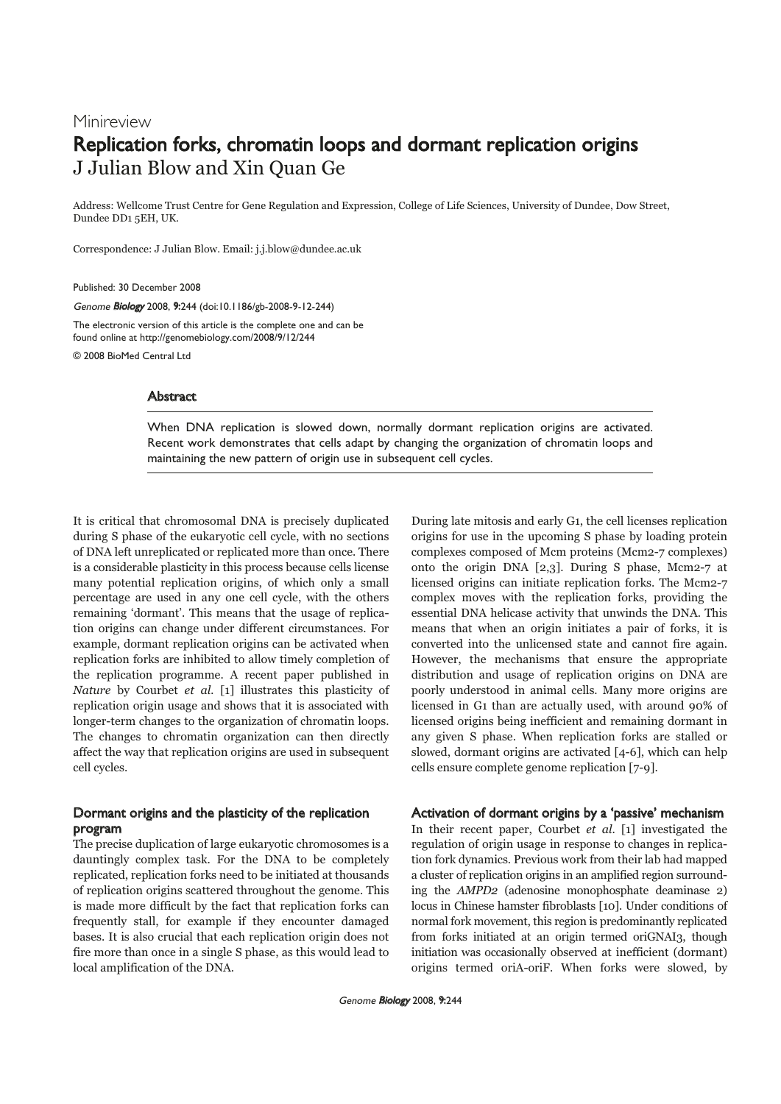# Minireview Replication forks, chromatin loops and dormant replication origins J Julian Blow and Xin Quan Ge

Address: Wellcome Trust Centre for Gene Regulation and Expression, College of Life Sciences, University of Dundee, Dow Street, Dundee DD1 5EH, UK.

Correspondence: J Julian Blow. Email: j.j.blow@dundee.ac.uk

Published: 30 December 2008

Genome Biology 2008, 9:244 (doi:10.1186/gb-2008-9-12-244)

The electronic version of this article is the complete one and can be found online at http://genomebiology.com/2008/9/12/244

© 2008 BioMed Central Ltd

## Abstract

When DNA replication is slowed down, normally dormant replication origins are activated. Recent work demonstrates that cells adapt by changing the organization of chromatin loops and maintaining the new pattern of origin use in subsequent cell cycles.

It is critical that chromosomal DNA is precisely duplicated during S phase of the eukaryotic cell cycle, with no sections of DNA left unreplicated or replicated more than once. There is a considerable plasticity in this process because cells license many potential replication origins, of which only a small percentage are used in any one cell cycle, with the others remaining 'dormant'. This means that the usage of replication origins can change under different circumstances. For example, dormant replication origins can be activated when replication forks are inhibited to allow timely completion of the replication programme. A recent paper published in Nature by Courbet et al. [1] illustrates this plasticity of replication origin usage and shows that it is associated with longer-term changes to the organization of chromatin loops. The changes to chromatin organization can then directly affect the way that replication origins are used in subsequent cell cycles.

# Dormant origins and the plasticity of the replication program

The precise duplication of large eukaryotic chromosomes is a dauntingly complex task. For the DNA to be completely replicated, replication forks need to be initiated at thousands of replication origins scattered throughout the genome. This is made more difficult by the fact that replication forks can frequently stall, for example if they encounter damaged bases. It is also crucial that each replication origin does not fire more than once in a single S phase, as this would lead to local amplification of the DNA.

During late mitosis and early G1, the cell licenses replication origins for use in the upcoming S phase by loading protein complexes composed of Mcm proteins (Mcm2-7 complexes) onto the origin DNA [2,3]. During S phase, Mcm2-7 at licensed origins can initiate replication forks. The Mcm2-7 complex moves with the replication forks, providing the essential DNA helicase activity that unwinds the DNA. This means that when an origin initiates a pair of forks, it is converted into the unlicensed state and cannot fire again. However, the mechanisms that ensure the appropriate distribution and usage of replication origins on DNA are poorly understood in animal cells. Many more origins are licensed in G1 than are actually used, with around 90% of licensed origins being inefficient and remaining dormant in any given S phase. When replication forks are stalled or slowed, dormant origins are activated [4-6], which can help cells ensure complete genome replication [7-9].

## Activation of dormant origins by a 'passive' mechanism

In their recent paper, Courbet et al. [1] investigated the regulation of origin usage in response to changes in replication fork dynamics. Previous work from their lab had mapped a cluster of replication origins in an amplified region surrounding the AMPD2 (adenosine monophosphate deaminase 2) locus in Chinese hamster fibroblasts [10]. Under conditions of normal fork movement, this region is predominantly replicated from forks initiated at an origin termed oriGNAI3, though initiation was occasionally observed at inefficient (dormant) origins termed oriA-oriF. When forks were slowed, by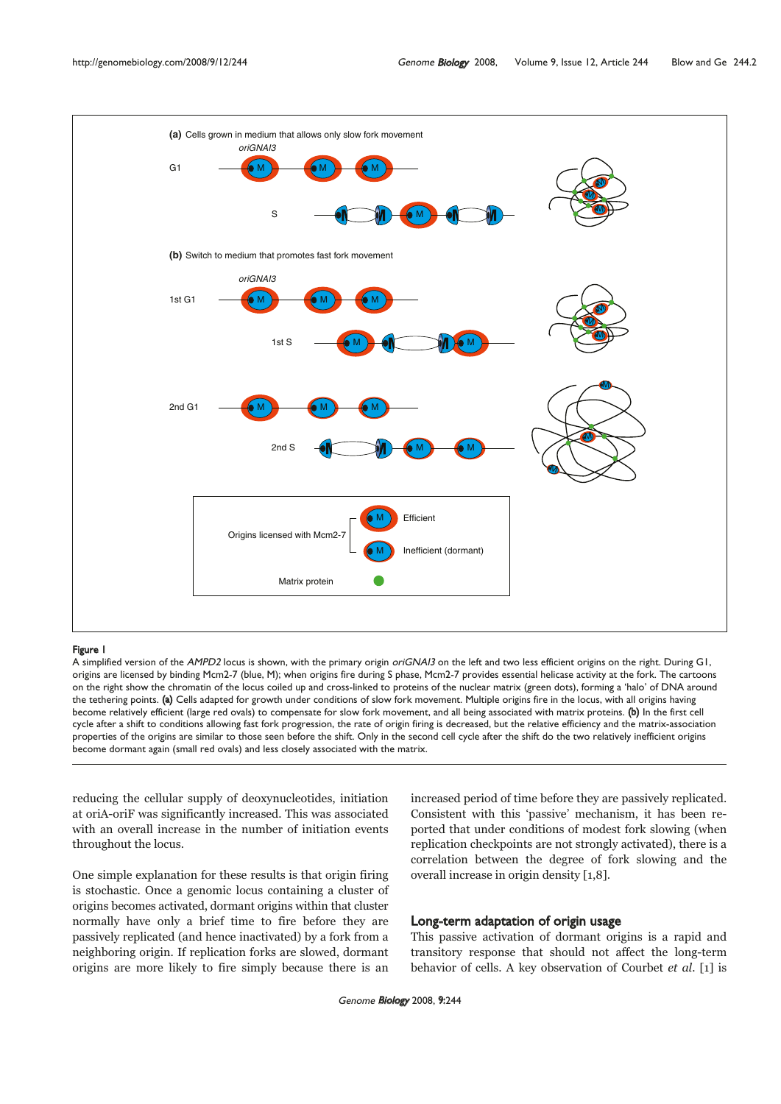

#### Figure 1

A simplified version of the AMPD2 locus is shown, with the primary origin oriGNAI3 on the left and two less efficient origins on the right. During G1, origins are licensed by binding Mcm2-7 (blue, M); when origins fire during S phase, Mcm2-7 provides essential helicase activity at the fork. The cartoons on the right show the chromatin of the locus coiled up and cross-linked to proteins of the nuclear matrix (green dots), forming a 'halo' of DNA around the tethering points. (a) Cells adapted for growth under conditions of slow fork movement. Multiple origins fire in the locus, with all origins having become relatively efficient (large red ovals) to compensate for slow fork movement, and all being associated with matrix proteins. (b) In the first cell cycle after a shift to conditions allowing fast fork progression, the rate of origin firing is decreased, but the relative efficiency and the matrix-association properties of the origins are similar to those seen before the shift. Only in the second cell cycle after the shift do the two relatively inefficient origins become dormant again (small red ovals) and less closely associated with the matrix.

reducing the cellular supply of deoxynucleotides, initiation at oriA-oriF was significantly increased. This was associated with an overall increase in the number of initiation events throughout the locus.

One simple explanation for these results is that origin firing is stochastic. Once a genomic locus containing a cluster of origins becomes activated, dormant origins within that cluster normally have only a brief time to fire before they are passively replicated (and hence inactivated) by a fork from a neighboring origin. If replication forks are slowed, dormant origins are more likely to fire simply because there is an increased period of time before they are passively replicated. Consistent with this 'passive' mechanism, it has been reported that under conditions of modest fork slowing (when replication checkpoints are not strongly activated), there is a correlation between the degree of fork slowing and the overall increase in origin density [1,8].

# Long-term adaptation of origin usage

This passive activation of dormant origins is a rapid and transitory response that should not affect the long-term behavior of cells. A key observation of Courbet et al. [1] is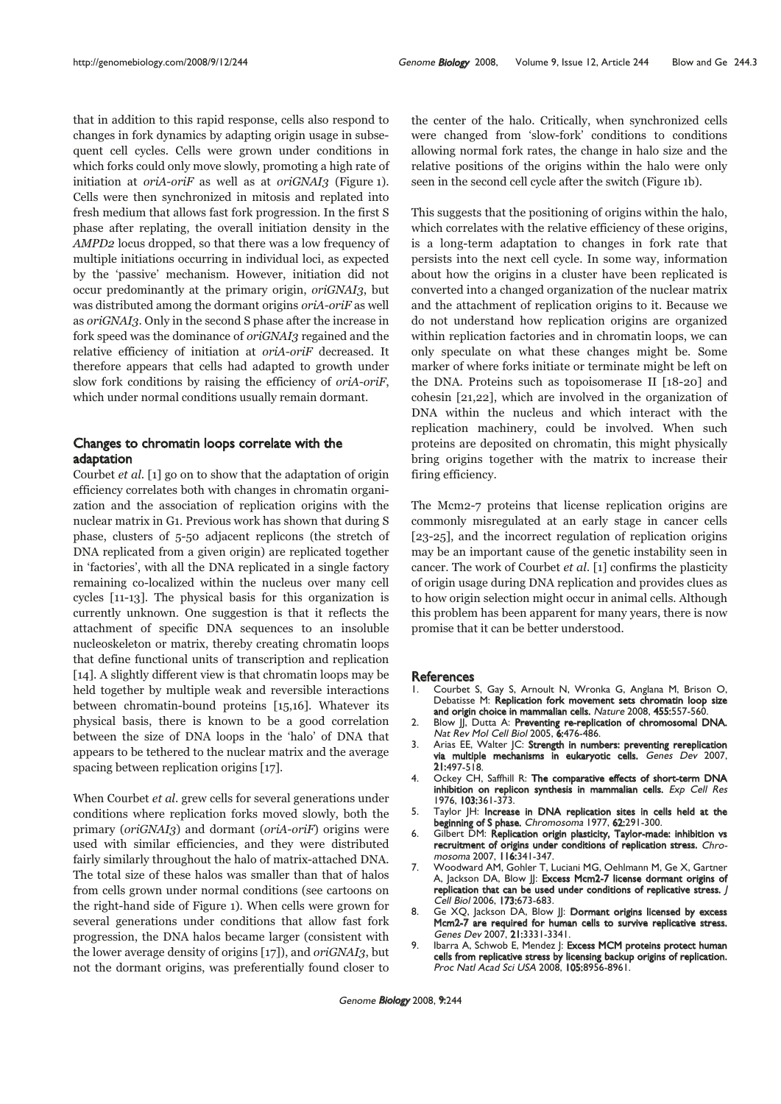that in addition to this rapid response, cells also respond to changes in fork dynamics by adapting origin usage in subsequent cell cycles. Cells were grown under conditions in which forks could only move slowly, promoting a high rate of initiation at *oriA-oriF* as well as at *oriGNAI*3 (Figure 1). Cells were then synchronized in mitosis and replated into fresh medium that allows fast fork progression. In the first S phase after replating, the overall initiation density in the AMPD2 locus dropped, so that there was a low frequency of multiple initiations occurring in individual loci, as expected by the 'passive' mechanism. However, initiation did not occur predominantly at the primary origin, oriGNAI3, but was distributed among the dormant origins oriA-oriF as well as oriGNAI3. Only in the second S phase after the increase in fork speed was the dominance of oriGNAI3 regained and the relative efficiency of initiation at oriA-oriF decreased. It therefore appears that cells had adapted to growth under slow fork conditions by raising the efficiency of oriA-oriF, which under normal conditions usually remain dormant.

# Changes to chromatin loops correlate with the adaptation

Courbet et al. [1] go on to show that the adaptation of origin efficiency correlates both with changes in chromatin organization and the association of replication origins with the nuclear matrix in G1. Previous work has shown that during S phase, clusters of 5-50 adjacent replicons (the stretch of DNA replicated from a given origin) are replicated together in 'factories', with all the DNA replicated in a single factory remaining co-localized within the nucleus over many cell cycles [11-13]. The physical basis for this organization is currently unknown. One suggestion is that it reflects the attachment of specific DNA sequences to an insoluble nucleoskeleton or matrix, thereby creating chromatin loops that define functional units of transcription and replication [14]. A slightly different view is that chromatin loops may be held together by multiple weak and reversible interactions between chromatin-bound proteins [15,16]. Whatever its physical basis, there is known to be a good correlation between the size of DNA loops in the 'halo' of DNA that appears to be tethered to the nuclear matrix and the average spacing between replication origins [17].

When Courbet et al. grew cells for several generations under conditions where replication forks moved slowly, both the primary (oriGNAI3) and dormant (oriA-oriF) origins were used with similar efficiencies, and they were distributed fairly similarly throughout the halo of matrix-attached DNA. The total size of these halos was smaller than that of halos from cells grown under normal conditions (see cartoons on the right-hand side of Figure 1). When cells were grown for several generations under conditions that allow fast fork progression, the DNA halos became larger (consistent with the lower average density of origins [17]), and oriGNAI3, but not the dormant origins, was preferentially found closer to the center of the halo. Critically, when synchronized cells were changed from 'slow-fork' conditions to conditions allowing normal fork rates, the change in halo size and the relative positions of the origins within the halo were only seen in the second cell cycle after the switch (Figure 1b).

This suggests that the positioning of origins within the halo, which correlates with the relative efficiency of these origins, is a long-term adaptation to changes in fork rate that persists into the next cell cycle. In some way, information about how the origins in a cluster have been replicated is converted into a changed organization of the nuclear matrix and the attachment of replication origins to it. Because we do not understand how replication origins are organized within replication factories and in chromatin loops, we can only speculate on what these changes might be. Some marker of where forks initiate or terminate might be left on the DNA. Proteins such as topoisomerase II [18-20] and cohesin [21,22], which are involved in the organization of DNA within the nucleus and which interact with the replication machinery, could be involved. When such proteins are deposited on chromatin, this might physically bring origins together with the matrix to increase their firing efficiency.

The Mcm2-7 proteins that license replication origins are commonly misregulated at an early stage in cancer cells [23-25], and the incorrect regulation of replication origins may be an important cause of the genetic instability seen in cancer. The work of Courbet et al. [1] confirms the plasticity of origin usage during DNA replication and provides clues as to how origin selection might occur in animal cells. Although this problem has been apparent for many years, there is now promise that it can be better understood.

### **References**

- 1. Courbet S, Gay S, Arnoult N, Wronka G, Anglana M, Brison O, Debatisse M: Replication fork movement sets chromatin loop size and origin choice in mammalian cells. Nature 2008, 455:557-560.
- 2. Blow JJ, Dutta A: Preventing re-replication of chromosomal DNA. Nat Rev Mol Cell Biol 2005, 6:476-486.
- 3. Arias EE, Walter JC: Strength in numbers: preventing rereplication via multiple mechanisms in eukaryotic cells. Genes Dev 2007, 21:497-518.
- 4. Ockey CH, Saffhill R: The comparative effects of short-term DNA inhibition on replicon synthesis in mammalian cells. Exp Cell Res 1976, 103:361-373.
- 5. Taylor JH: Increase in DNA replication sites in cells held at the beginning of S phase. Chromosoma 1977, 62:291-300.
- 6. Gilbert DM: Replication origin plasticity, Taylor-made: inhibition vs recruitment of origins under conditions of replication stress. Chromosoma 2007, 116:341-347.
- 7. Woodward AM, Gohler T, Luciani MG, Oehlmann M, Ge X, Gartner A, Jackson DA, Blow JJ: Excess Mcm2-7 license dormant origins of replication that can be used under conditions of replicative stress. J Cell Biol 2006, 173:673-683.
- 8. Ge XQ, Jackson DA, Blow JJ: Dormant origins licensed by excess Mcm2-7 are required for human cells to survive replicative stress. Genes Dev 2007, 21:3331-3341.
- 9. Ibarra A, Schwob E, Mendez |: Excess MCM proteins protect human cells from replicative stress by licensing backup origins of replication. Proc Natl Acad Sci USA 2008, 105:8956-8961.

Genome **Biology** 2008, 9:244